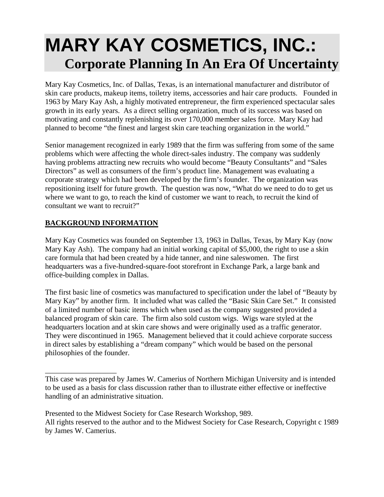# **MARY KAY COSMETICS, INC.: Corporate Planning In An Era Of Uncertainty**

Mary Kay Cosmetics, Inc. of Dallas, Texas, is an international manufacturer and distributor of skin care products, makeup items, toiletry items, accessories and hair care products. Founded in 1963 by Mary Kay Ash, a highly motivated entrepreneur, the firm experienced spectacular sales growth in its early years. As a direct selling organization, much of its success was based on motivating and constantly replenishing its over 170,000 member sales force. Mary Kay had planned to become "the finest and largest skin care teaching organization in the world."

Senior management recognized in early 1989 that the firm was suffering from some of the same problems which were affecting the whole direct-sales industry. The company was suddenly having problems attracting new recruits who would become "Beauty Consultants" and "Sales Directors" as well as consumers of the firm's product line. Management was evaluating a corporate strategy which had been developed by the firm's founder. The organization was repositioning itself for future growth. The question was now, "What do we need to do to get us where we want to go, to reach the kind of customer we want to reach, to recruit the kind of consultant we want to recruit?"

## **BACKGROUND INFORMATION**

Mary Kay Cosmetics was founded on September 13, 1963 in Dallas, Texas, by Mary Kay (now Mary Kay Ash). The company had an initial working capital of \$5,000, the right to use a skin care formula that had been created by a hide tanner, and nine saleswomen. The first headquarters was a five-hundred-square-foot storefront in Exchange Park, a large bank and office-building complex in Dallas.

The first basic line of cosmetics was manufactured to specification under the label of "Beauty by Mary Kay" by another firm. It included what was called the "Basic Skin Care Set." It consisted of a limited number of basic items which when used as the company suggested provided a balanced program of skin care. The firm also sold custom wigs. Wigs ware styled at the headquarters location and at skin care shows and were originally used as a traffic generator. They were discontinued in 1965. Management believed that it could achieve corporate success in direct sales by establishing a "dream company" which would be based on the personal philosophies of the founder.

\_\_\_\_\_\_\_\_\_\_\_\_\_\_\_\_\_\_\_ This case was prepared by James W. Camerius of Northern Michigan University and is intended to be used as a basis for class discussion rather than to illustrate either effective or ineffective handling of an administrative situation.

Presented to the Midwest Society for Case Research Workshop, 989. All rights reserved to the author and to the Midwest Society for Case Research, Copyright c 1989 by James W. Camerius.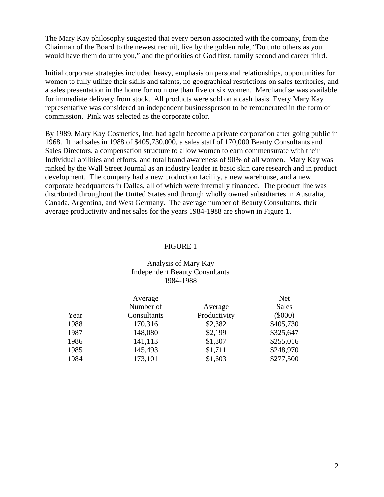The Mary Kay philosophy suggested that every person associated with the company, from the Chairman of the Board to the newest recruit, live by the golden rule, "Do unto others as you would have them do unto you," and the priorities of God first, family second and career third.

Initial corporate strategies included heavy, emphasis on personal relationships, opportunities for women to fully utilize their skills and talents, no geographical restrictions on sales territories, and a sales presentation in the home for no more than five or six women. Merchandise was available for immediate delivery from stock. All products were sold on a cash basis. Every Mary Kay representative was considered an independent businessperson to be remunerated in the form of commission. Pink was selected as the corporate color.

By 1989, Mary Kay Cosmetics, Inc. had again become a private corporation after going public in 1968. It had sales in 1988 of \$405,730,000, a sales staff of 170,000 Beauty Consultants and Sales Directors, a compensation structure to allow women to earn commensurate with their Individual abilities and efforts, and total brand awareness of 90% of all women. Mary Kay was ranked by the Wall Street Journal as an industry leader in basic skin care research and in product development. The company had a new production facility, a new warehouse, and a new corporate headquarters in Dallas, all of which were internally financed. The product line was distributed throughout the United States and through wholly owned subsidiaries in Australia, Canada, Argentina, and West Germany. The average number of Beauty Consultants, their average productivity and net sales for the years 1984-1988 are shown in Figure 1.

#### FIGURE 1

#### Analysis of Mary Kay Independent Beauty Consultants 1984-1988

| Average     |              | <b>Net</b>   |
|-------------|--------------|--------------|
| Number of   | Average      | <b>Sales</b> |
| Consultants | Productivity | $(\$000)$    |
| 170,316     | \$2,382      | \$405,730    |
| 148,080     | \$2,199      | \$325,647    |
| 141,113     | \$1,807      | \$255,016    |
| 145,493     | \$1,711      | \$248,970    |
| 173,101     | \$1,603      | \$277,500    |
|             |              |              |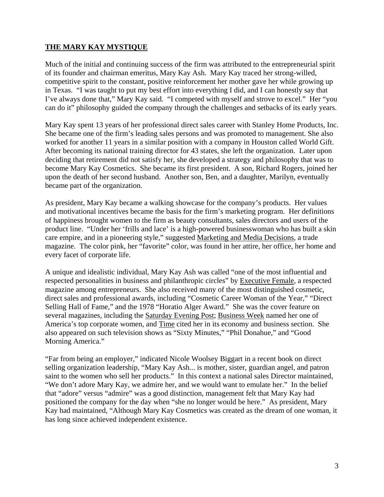#### **THE MARY KAY MYSTIQUE**

Much of the initial and continuing success of the firm was attributed to the entrepreneurial spirit of its founder and chairman emeritus, Mary Kay Ash. Mary Kay traced her strong-willed, competitive spirit to the constant, positive reinforcement her mother gave her while growing up in Texas. "I was taught to put my best effort into everything I did, and I can honestly say that I've always done that," Mary Kay said. "I competed with myself and strove to excel." Her "you can do it" philosophy guided the company through the challenges and setbacks of its early years.

Mary Kay spent 13 years of her professional direct sales career with Stanley Home Products, Inc. She became one of the firm's leading sales persons and was promoted to management. She also worked for another 11 years in a similar position with a company in Houston called World Gift. After becoming its national training director for 43 states, she left the organization. Later upon deciding that retirement did not satisfy her, she developed a strategy and philosophy that was to become Mary Kay Cosmetics. She became its first president. A son, Richard Rogers, joined her upon the death of her second husband. Another son, Ben, and a daughter, Marilyn, eventually became part of the organization.

As president, Mary Kay became a walking showcase for the company's products. Her values and motivational incentives became the basis for the firm's marketing program. Her definitions of happiness brought women to the firm as beauty consultants, sales directors and users of the product line. "Under her 'frills and lace' is a high-powered businesswoman who has built a skin care empire, and in a pioneering style," suggested Marketing and Media Decisions, a trade magazine. The color pink, her "favorite" color, was found in her attire, her office, her home and every facet of corporate life.

A unique and idealistic individual, Mary Kay Ash was called "one of the most influential and respected personalities in business and philanthropic circles" by Executive Female, a respected magazine among entrepreneurs. She also received many of the most distinguished cosmetic, direct sales and professional awards, including "Cosmetic Career Woman of the Year," "Direct Selling Hall of Fame," and the 1978 "Horatio Alger Award." She was the cover feature on several magazines, including the Saturday Evening Post; Business Week named her one of America's top corporate women, and Time cited her in its economy and business section. She also appeared on such television shows as "Sixty Minutes," "Phil Donahue," and "Good Morning America."

"Far from being an employer," indicated Nicole Woolsey Biggart in a recent book on direct selling organization leadership, "Mary Kay Ash... is mother, sister, guardian angel, and patron saint to the women who sell her products." In this context a national sales Director maintained, "We don't adore Mary Kay, we admire her, and we would want to emulate her." In the belief that "adore" versus "admire" was a good distinction, management felt that Mary Kay had positioned the company for the day when "she no longer would be here." As president, Mary Kay had maintained, "Although Mary Kay Cosmetics was created as the dream of one woman, it has long since achieved independent existence.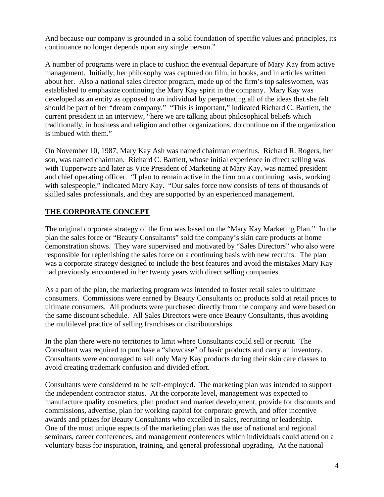And because our company is grounded in a solid foundation of specific values and principles, its continuance no longer depends upon any single person."

A number of programs were in place to cushion the eventual departure of Mary Kay from active management. Initially, her philosophy was captured on film, in books, and in articles written about her. Also a national sales director program, made up of the firm's top saleswomen, was established to emphasize continuing the Mary Kay spirit in the company. Mary Kay was developed as an entity as opposed to an individual by perpetuating all of the ideas that she felt should be part of her "dream company." "This is important," indicated Richard C. Bartlett, the current president in an interview, "here we are talking about philosophical beliefs which traditionally, in business and religion and other organizations, do continue on if the organization is imbued with them."

On November 10, 1987, Mary Kay Ash was named chairman emeritus. Richard R. Rogers, her son, was named chairman. Richard C. Bartlett, whose initial experience in direct selling was with Tupperware and later as Vice President of Marketing at Mary Kay, was named president and chief operating officer. "I plan to remain active in the firm on a continuing basis, working with salespeople," indicated Mary Kay. "Our sales force now consists of tens of thousands of skilled sales professionals, and they are supported by an experienced management.

#### **THE CORPORATE CONCEPT**

The original corporate strategy of the firm was based on the "Mary Kay Marketing Plan." In the plan the sales force or "Beauty Consultants" sold the company's skin care products at home demonstration shows. They ware supervised and motivated by "Sales Directors" who also were responsible for replenishing the sales force on a continuing basis with new recruits. The plan was a corporate strategy designed to include the best features and avoid the mistakes Mary Kay had previously encountered in her twenty years with direct selling companies.

As a part of the plan, the marketing program was intended to foster retail sales to ultimate consumers. Commissions were earned by Beauty Consultants on products sold at retail prices to ultimate consumers. All products were purchased directly from the company and were based on the same discount schedule. All Sales Directors were once Beauty Consultants, thus avoiding the multilevel practice of selling franchises or distributorships.

In the plan there were no territories to limit where Consultants could sell or recruit. The Consultant was required to purchase a "showcase" of basic products and carry an inventory. Consultants were encouraged to sell only Mary Kay products during their skin care classes to avoid creating trademark confusion and divided effort.

Consultants were considered to be self-employed. The marketing plan was intended to support the independent contractor status. At the corporate level, management was expected to manufacture quality cosmetics, plan product and market development, provide for discounts and commissions, advertise, plan for working capital for corporate growth, and offer incentive awards and prizes for Beauty Consultants who excelled in sales, recruiting or leadership. One of the most unique aspects of the marketing plan was the use of national and regional seminars, career conferences, and management conferences which individuals could attend on a voluntary basis for inspiration, training, and general professional upgrading. At the national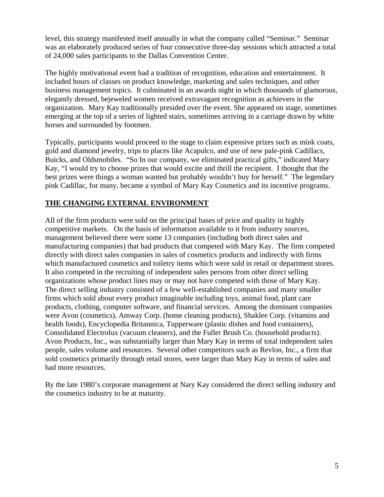level, this strategy manifested itself annually in what the company called "Seminar." Seminar was an elaborately produced series of four consecutive three-day sessions which attracted a total of 24,000 sales participants to the Dallas Convention Center.

The highly motivational event had a tradition of recognition, education and entertainment. It included hours of classes on product knowledge, marketing and sales techniques, and other business management topics. It culminated in an awards night in which thousands of glamorous, elegantly dressed, bejeweled women received extravagant recognition as achievers in the organization. Mary Kay traditionally presided over the event. She appeared on stage, sometimes emerging at the top of a series of lighted stairs, sometimes arriving in a carriage drawn by white horses and surrounded by footmen.

Typically, participants would proceed to the stage to claim expensive prizes such as mink coats, gold and diamond jewelry, trips to places like Acapulco, and use of new pale-pink Cadillacs, Buicks, and Oldsmobiles. "So In our company, we eliminated practical gifts," indicated Mary Kay, "I would try to choose prizes that would excite and thrill the recipient. I thought that the best prizes were things a woman wanted but probably wouldn't buy for herself." The legendary pink Cadillac, for many, became a symbol of Mary Kay Cosmetics and its incentive programs.

#### **THE CHANGING EXTERNAL ENVIRONMENT**

All of the firm products were sold on the principal bases of price and quality in highly competitive markets. On the basis of information available to it from industry sources, management believed there were some 13 companies (including both direct sales and manufacturing companies) that had products that competed with Mary Kay. The firm competed directly with direct sales companies in sales of cosmetics products and indirectly with firms which manufactured cosmetics and toiletry items which were sold in retail or department stores. It also competed in the recruiting of independent sales persons from other direct selling organizations whose product lines may or may not have competed with those of Mary Kay. The direct selling industry consisted of a few well-established companies and many smaller firms which sold about every product imaginable including toys, animal food, plant care products, clothing, computer software, and financial services. Among the dominant companies were Avon (cosmetics), Amway Corp. (home cleaning products), Shaklee Corp. (vitamins and health foods), Encyclopedia Britannica, Tupperware (plastic dishes and food containers), Consolidated Electrolux (vacuum cleaners), and the Fuller Brush Co. (household products). Avon Products, Inc., was substantially larger than Mary Kay in terms of total independent sales people, sales volume and resources. Several other competitors such as Revlon, Inc., a firm that sold cosmetics primarily through retail stores, were larger than Mary Kay in terms of sales and had more resources.

By the late 1980's corporate management at Nary Kay considered the direct selling industry and the cosmetics industry to be at maturity.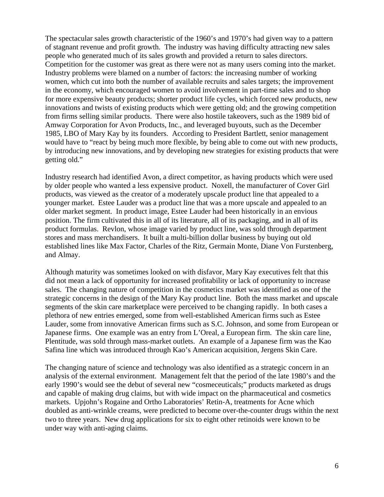The spectacular sales growth characteristic of the 1960's and 1970's had given way to a pattern of stagnant revenue and profit growth. The industry was having difficulty attracting new sales people who generated much of its sales growth and provided a return to sales directors. Competition for the customer was great as there were not as many users coming into the market. Industry problems were blamed on a number of factors: the increasing number of working women, which cut into both the number of available recruits and sales targets; the improvement in the economy, which encouraged women to avoid involvement in part-time sales and to shop for more expensive beauty products; shorter product life cycles, which forced new products, new innovations and twists of existing products which were getting old; and the growing competition from firms selling similar products. There were also hostile takeovers, such as the 1989 bid of Amway Corporation for Avon Products, Inc., and leveraged buyouts, such as the December 1985, LBO of Mary Kay by its founders. According to President Bartlett, senior management would have to "react by being much more flexible, by being able to come out with new products, by introducing new innovations, and by developing new strategies for existing products that were getting old."

Industry research had identified Avon, a direct competitor, as having products which were used by older people who wanted a less expensive product. Noxell, the manufacturer of Cover Girl products, was viewed as the creator of a moderately upscale product line that appealed to a younger market. Estee Lauder was a product line that was a more upscale and appealed to an older market segment. In product image, Estee Lauder had been historically in an envious position. The firm cultivated this in all of its literature, all of its packaging, and in all of its product formulas. Revlon, whose image varied by product line, was sold through department stores and mass merchandisers. It built a multi-billion dollar business by buying out old established lines like Max Factor, Charles of the Ritz, Germain Monte, Diane Von Furstenberg, and Almay.

Although maturity was sometimes looked on with disfavor, Mary Kay executives felt that this did not mean a lack of opportunity for increased profitability or lack of opportunity to increase sales. The changing nature of competition in the cosmetics market was identified as one of the strategic concerns in the design of the Mary Kay product line. Both the mass market and upscale segments of the skin care marketplace were perceived to be changing rapidly. In both cases a plethora of new entries emerged, some from well-established American firms such as Estee Lauder, some from innovative American firms such as S.C. Johnson, and some from European or Japanese firms. One example was an entry from L'Oreal, a European firm. The skin care line, Plentitude, was sold through mass-market outlets. An example of a Japanese firm was the Kao Safina line which was introduced through Kao's American acquisition, Jergens Skin Care.

The changing nature of science and technology was also identified as a strategic concern in an analysis of the external environment. Management felt that the period of the late 1980's and the early 1990's would see the debut of several new "cosmeceuticals;" products marketed as drugs and capable of making drug claims, but with wide impact on the pharmaceutical and cosmetics markets. Upjohn's Rogaine and Ortho Laboratories' Retin-A, treatments for Acne which doubled as anti-wrinkle creams, were predicted to become over-the-counter drugs within the next two to three years. New drug applications for six to eight other retinoids were known to be under way with anti-aging claims.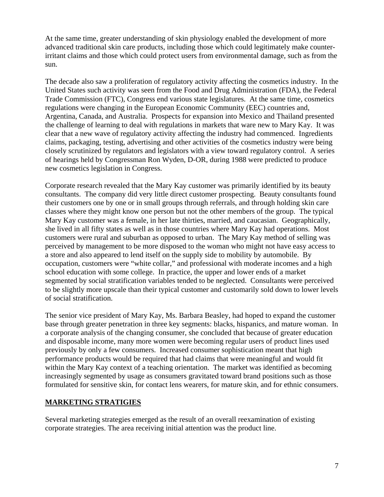At the same time, greater understanding of skin physiology enabled the development of more advanced traditional skin care products, including those which could legitimately make counterirritant claims and those which could protect users from environmental damage, such as from the sun.

The decade also saw a proliferation of regulatory activity affecting the cosmetics industry. In the United States such activity was seen from the Food and Drug Administration (FDA), the Federal Trade Commission (FTC), Congress end various state legislatures. At the same time, cosmetics regulations were changing in the European Economic Community (EEC) countries and, Argentina, Canada, and Australia. Prospects for expansion into Mexico and Thailand presented the challenge of learning to deal with regulations in markets that ware new to Mary Kay. It was clear that a new wave of regulatory activity affecting the industry had commenced. Ingredients claims, packaging, testing, advertising and other activities of the cosmetics industry were being closely scrutinized by regulators and legislators with a view toward regulatory control. A series of hearings held by Congressman Ron Wyden, D-OR, during 1988 were predicted to produce new cosmetics legislation in Congress.

Corporate research revealed that the Mary Kay customer was primarily identified by its beauty consultants. The company did very little direct customer prospecting. Beauty consultants found their customers one by one or in small groups through referrals, and through holding skin care classes where they might know one person but not the other members of the group. The typical Mary Kay customer was a female, in her late thirties, married, and caucasian. Geographically, she lived in all fifty states as well as in those countries where Mary Kay had operations. Most customers were rural and suburban as opposed to urban. The Mary Kay method of selling was perceived by management to be more disposed to the woman who might not have easy access to a store and also appeared to lend itself on the supply side to mobility by automobile. By occupation, customers were "white collar," and professional with moderate incomes and a high school education with some college. In practice, the upper and lower ends of a market segmented by social stratification variables tended to be neglected. Consultants were perceived to be slightly more upscale than their typical customer and customarily sold down to lower levels of social stratification.

The senior vice president of Mary Kay, Ms. Barbara Beasley, had hoped to expand the customer base through greater penetration in three key segments: blacks, hispanics, and mature woman. In a corporate analysis of the changing consumer, she concluded that because of greater education and disposable income, many more women were becoming regular users of product lines used previously by only a few consumers. Increased consumer sophistication meant that high performance products would be required that had claims that were meaningful and would fit within the Mary Kay context of a teaching orientation. The market was identified as becoming increasingly segmented by usage as consumers gravitated toward brand positions such as those formulated for sensitive skin, for contact lens wearers, for mature skin, and for ethnic consumers.

#### **MARKETING STRATIGIES**

Several marketing strategies emerged as the result of an overall reexamination of existing corporate strategies. The area receiving initial attention was the product line.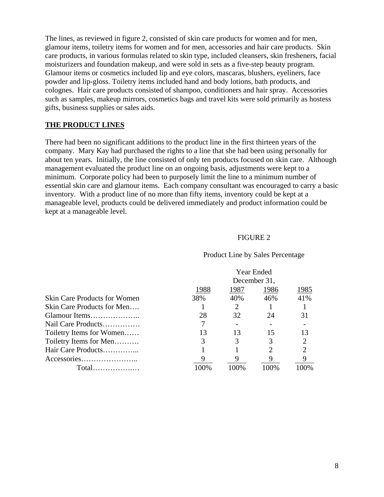The lines, as reviewed in figure 2, consisted of skin care products for women and for men, glamour items, toiletry items for women and for men, accessories and hair care products. Skin care products, in various formulas related to skin type, included cleansers, skin fresheners, facial moisturizers and foundation makeup, and were sold in sets as a five-step beauty program. Glamour items or cosmetics included lip and eye colors, mascaras, blushers, eyeliners, face powder and lip-gloss. Toiletry items included hand and body lotions, bath products, and colognes. Hair care products consisted of shampoo, conditioners and hair spray. Accessories such as samples, makeup mirrors, cosmetics bags and travel kits were sold primarily as hostess gifts, business supplies or sales aids.

#### **THE PRODUCT LINES**

There had been no significant additions to the product line in the first thirteen years of the company. Mary Kay had purchased the rights to a line that she had been using personally for about ten years. Initially, the line consisted of only ten products focused on skin care. Although management evaluated the product line on an ongoing basis, adjustments were kept to a minimum. Corporate policy had been to purposely limit the line to a minimum number of essential skin care and glamour items. Each company consultant was encouraged to carry a basic inventory. With a product line of no more than fifty items, inventory could be kept at a manageable level, products could be delivered immediately and product information could be kept at a manageable level.

#### FIGURE 2

|                                     | <b>Year Ended</b><br>December 31, |                             |      |      |
|-------------------------------------|-----------------------------------|-----------------------------|------|------|
|                                     | 1988                              | 1987                        | 1986 | 1985 |
| <b>Skin Care Products for Women</b> | 38%                               | 40%                         | 46%  | 41%  |
| Skin Care Products for Men          |                                   | $\mathcal{D}_{\mathcal{L}}$ |      |      |
| Glamour Items                       | 28                                | 32                          | 24   | 31   |
| Nail Care Products                  |                                   |                             |      |      |
| Toiletry Items for Women            | 13                                | 13                          | 15   | 13   |
| Toiletry Items for Men              | 3                                 | 3                           |      |      |
| Hair Care Products                  |                                   |                             |      |      |
| Accessories                         | 9                                 | 9                           |      |      |
|                                     |                                   | 100%                        | 100% | 00%  |

#### Product Line by Sales Percentage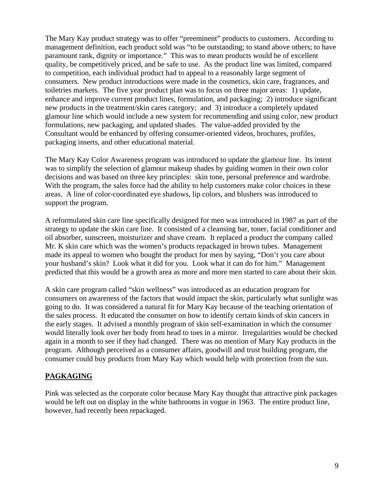The Mary Kay product strategy was to offer "preeminent" products to customers. According to management definition, each product sold was "to be outstanding; to stand above others; to have paramount rank, dignity or importance." This was to mean products would be of excellent quality, be competitively priced, and be safe to use. As the product line was limited, compared to competition, each individual product had to appeal to a reasonably large segment of consumers. New product introductions were made in the cosmetics, skin care, fragrances, and toiletries markets. The five year product plan was to focus on three major areas: 1) update, enhance and improve current product lines, formulation, and packaging; 2) introduce significant new products in the treatment/skin cares category; and 3) introduce a completely updated glamour line which would include a new system for recommending and using color, new product formulations, new packaging, and updated shades. The value-added provided by the Consultant would be enhanced by offering consumer-oriented videos, brochures, profiles, packaging inserts, and other educational material.

The Mary Kay Color Awareness program was introduced to update the glamour line. Its intent was to simplify the selection of glamour makeup shades by guiding women in their own color decisions and was based on three key principles: skin tone, personal preference and wardrobe. With the program, the sales force had the ability to help customers make color choices in these areas. A line of color-coordinated eye shadows, lip colors, and blushers was introduced to support the program.

A reformulated skin care line specifically designed for men was introduced in 1987 as part of the strategy to update the skin care line. It consisted of a cleansing bar, toner, facial conditioner and oil absorber, sunscreen, moisturizer and shave cream. It replaced a product the company called Mr. K skin care which was the women's products repackaged in brown tubes. Management made its appeal to women who bought the product for men by saying, "Don't you care about your husband's skin? Look what it did for you. Look what it can do for him." Management predicted that this would be a growth area as more and more men started to care about their skin.

A skin care program called "skin wellness" was introduced as an education program for consumers on awareness of the factors that would impact the skin, particularly what sunlight was going to do. It was considered a natural fit for Mary Kay because of the teaching orientation of the sales process. It educated the consumer on how to identify certain kinds of skin cancers in the early stages. It advised a monthly program of skin self-examination in which the consumer would literally look over her body from head to toes in a mirror. Irregularities would be checked again in a month to see if they had changed. There was no mention of Mary Kay products in the program. Although perceived as a consumer affairs, goodwill and trust building program, the consumer could buy products from Mary Kay which would help with protection from the sun.

#### **PAGKAGING**

Pink was selected as the corporate color because Mary Kay thought that attractive pink packages would be left out on display in the white bathrooms in vogue in 1963. The entire product line, however, had recently been repackaged.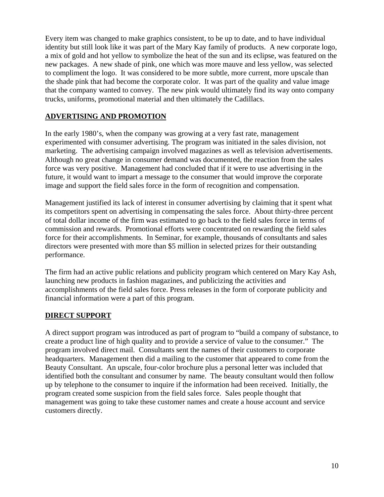Every item was changed to make graphics consistent, to be up to date, and to have individual identity but still look like it was part of the Mary Kay family of products. A new corporate logo, a mix of gold and hot yellow to symbolize the heat of the sun and its eclipse, was featured on the new packages. A new shade of pink, one which was more mauve and less yellow, was selected to compliment the logo. It was considered to be more subtle, more current, more upscale than the shade pink that had become the corporate color. It was part of the quality and value image that the company wanted to convey. The new pink would ultimately find its way onto company trucks, uniforms, promotional material and then ultimately the Cadillacs.

#### **ADVERTISING AND PROMOTION**

In the early 1980's, when the company was growing at a very fast rate, management experimented with consumer advertising. The program was initiated in the sales division, not marketing. The advertising campaign involved magazines as well as television advertisements. Although no great change in consumer demand was documented, the reaction from the sales force was very positive. Management had concluded that if it were to use advertising in the future, it would want to impart a message to the consumer that would improve the corporate image and support the field sales force in the form of recognition and compensation.

Management justified its lack of interest in consumer advertising by claiming that it spent what its competitors spent on advertising in compensating the sales force. About thirty-three percent of total dollar income of the firm was estimated to go back to the field sales force in terms of commission and rewards. Promotional efforts were concentrated on rewarding the field sales force for their accomplishments. In Seminar, for example, thousands of consultants and sales directors were presented with more than \$5 million in selected prizes for their outstanding performance.

The firm had an active public relations and publicity program which centered on Mary Kay Ash, launching new products in fashion magazines, and publicizing the activities and accomplishments of the field sales force. Press releases in the form of corporate publicity and financial information were a part of this program.

#### **DIRECT SUPPORT**

A direct support program was introduced as part of program to "build a company of substance, to create a product line of high quality and to provide a service of value to the consumer." The program involved direct mail. Consultants sent the names of their customers to corporate headquarters. Management then did a mailing to the customer that appeared to come from the Beauty Consultant. An upscale, four-color brochure plus a personal letter was included that identified both the consultant and consumer by name. The beauty consultant would then follow up by telephone to the consumer to inquire if the information had been received. Initially, the program created some suspicion from the field sales force. Sales people thought that management was going to take these customer names and create a house account and service customers directly.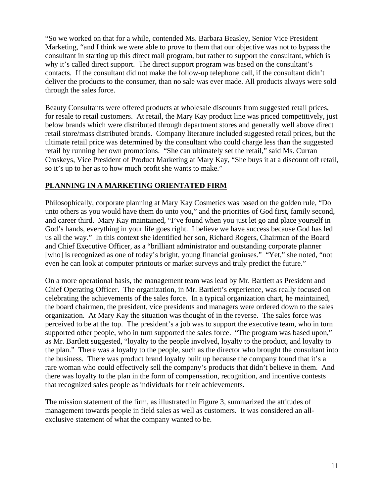"So we worked on that for a while, contended Ms. Barbara Beasley, Senior Vice President Marketing, "and I think we were able to prove to them that our objective was not to bypass the consultant in starting up this direct mail program, but rather to support the consultant, which is why it's called direct support. The direct support program was based on the consultant's contacts. If the consultant did not make the follow-up telephone call, if the consultant didn't deliver the products to the consumer, than no sale was ever made. All products always were sold through the sales force.

Beauty Consultants were offered products at wholesale discounts from suggested retail prices, for resale to retail customers. At retail, the Mary Kay product line was priced competitively, just below brands which were distributed through department stores and generally well above direct retail store/mass distributed brands. Company literature included suggested retail prices, but the ultimate retail price was determined by the consultant who could charge less than the suggested retail by running her own promotions. "She can ultimately set the retail," said Ms. Curran Croskeys, Vice President of Product Marketing at Mary Kay, "She buys it at a discount off retail, so it's up to her as to how much profit she wants to make."

#### **PLANNING IN A MARKETING ORIENTATED FIRM**

Philosophically, corporate planning at Mary Kay Cosmetics was based on the golden rule, "Do unto others as you would have them do unto you," and the priorities of God first, family second, and career third. Mary Kay maintained, "I've found when you just let go and place yourself in God's hands, everything in your life goes right. I believe we have success because God has led us all the way." In this context she identified her son, Richard Rogers, Chairman of the Board and Chief Executive Officer, as a "brilliant administrator and outstanding corporate planner [who] is recognized as one of today's bright, young financial geniuses." "Yet," she noted, "not even he can look at computer printouts or market surveys and truly predict the future."

On a more operational basis, the management team was lead by Mr. Bartlett as President and Chief Operating Officer. The organization, in Mr. Bartlett's experience, was really focused on celebrating the achievements of the sales force. In a typical organization chart, he maintained, the board chairmen, the president, vice presidents and managers were ordered down to the sales organization. At Mary Kay the situation was thought of in the reverse. The sales force was perceived to be at the top. The president's a job was to support the executive team, who in turn supported other people, who in turn supported the sales force. "The program was based upon," as Mr. Bartlett suggested, "loyalty to the people involved, loyalty to the product, and loyalty to the plan." There was a loyalty to the people, such as the director who brought the consultant into the business. There was product brand loyalty built up because the company found that it's a rare woman who could effectively sell the company's products that didn't believe in them. And there was loyalty to the plan in the form of compensation, recognition, and incentive contests that recognized sales people as individuals for their achievements.

The mission statement of the firm, as illustrated in Figure 3, summarized the attitudes of management towards people in field sales as well as customers. It was considered an allexclusive statement of what the company wanted to be.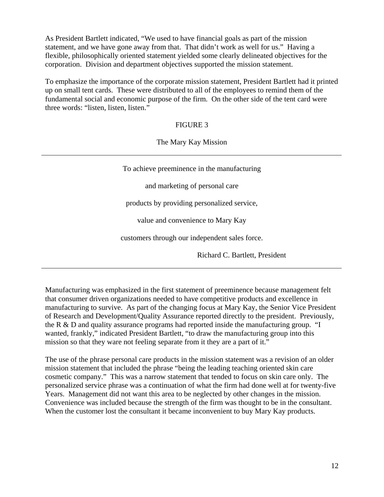As President Bartlett indicated, "We used to have financial goals as part of the mission statement, and we have gone away from that. That didn't work as well for us." Having a flexible, philosophically oriented statement yielded some clearly delineated objectives for the corporation. Division and department objectives supported the mission statement.

To emphasize the importance of the corporate mission statement, President Bartlett had it printed up on small tent cards. These were distributed to all of the employees to remind them of the fundamental social and economic purpose of the firm. On the other side of the tent card were three words: "listen, listen, listen."

#### FIGURE 3

The Mary Kay Mission

To achieve preeminence in the manufacturing

and marketing of personal care

products by providing personalized service,

value and convenience to Mary Kay

customers through our independent sales force.

Richard C. Bartlett, President

Manufacturing was emphasized in the first statement of preeminence because management felt that consumer driven organizations needed to have competitive products and excellence in manufacturing to survive. As part of the changing focus at Mary Kay, the Senior Vice President of Research and Development/Quality Assurance reported directly to the president. Previously, the R & D and quality assurance programs had reported inside the manufacturing group. "I wanted, frankly," indicated President Bartlett, "to draw the manufacturing group into this mission so that they ware not feeling separate from it they are a part of it."

The use of the phrase personal care products in the mission statement was a revision of an older mission statement that included the phrase "being the leading teaching oriented skin care cosmetic company." This was a narrow statement that tended to focus on skin care only. The personalized service phrase was a continuation of what the firm had done well at for twenty-five Years. Management did not want this area to be neglected by other changes in the mission. Convenience was included because the strength of the firm was thought to be in the consultant. When the customer lost the consultant it became inconvenient to buy Mary Kay products.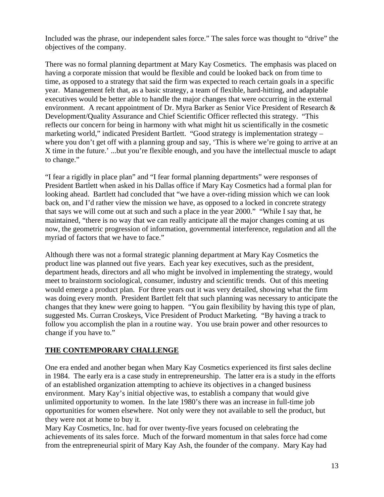Included was the phrase, our independent sales force." The sales force was thought to "drive" the objectives of the company.

There was no formal planning department at Mary Kay Cosmetics. The emphasis was placed on having a corporate mission that would be flexible and could be looked back on from time to time, as opposed to a strategy that said the firm was expected to reach certain goals in a specific year. Management felt that, as a basic strategy, a team of flexible, hard-hitting, and adaptable executives would be better able to handle the major changes that were occurring in the external environment. A recant appointment of Dr. Myra Barker as Senior Vice President of Research & Development/Quality Assurance and Chief Scientific Officer reflected this strategy. "This reflects our concern for being in harmony with what might hit us scientifically in the cosmetic marketing world," indicated President Bartlett. "Good strategy is implementation strategy – where you don't get off with a planning group and say, 'This is where we're going to arrive at an X time in the future.' ...but you're flexible enough, and you have the intellectual muscle to adapt to change."

"I fear a rigidly in place plan" and "I fear formal planning departments" were responses of President Bartlett when asked in his Dallas office if Mary Kay Cosmetics had a formal plan for looking ahead. Bartlett had concluded that "we have a over-riding mission which we can look back on, and I'd rather view the mission we have, as opposed to a locked in concrete strategy that says we will come out at such and such a place in the year 2000." "While I say that, he maintained, "there is no way that we can really anticipate all the major changes coming at us now, the geometric progression of information, governmental interference, regulation and all the myriad of factors that we have to face."

Although there was not a formal strategic planning department at Mary Kay Cosmetics the product line was planned out five years. Each year key executives, such as the president, department heads, directors and all who might be involved in implementing the strategy, would meet to brainstorm sociological, consumer, industry and scientific trends. Out of this meeting would emerge a product plan. For three years out it was very detailed, showing what the firm was doing every month. President Bartlett felt that such planning was necessary to anticipate the changes that they knew were going to happen. "You gain flexibility by having this type of plan, suggested Ms. Curran Croskeys, Vice President of Product Marketing. "By having a track to follow you accomplish the plan in a routine way. You use brain power and other resources to change if you have to."

#### **THE CONTEMPORARY CHALLENGE**

One era ended and another began when Mary Kay Cosmetics experienced its first sales decline in 1984. The early era is a case study in entrepreneurship. The latter era is a study in the efforts of an established organization attempting to achieve its objectives in a changed business environment. Mary Kay's initial objective was, to establish a company that would give unlimited opportunity to women. In the late 1980's there was an increase in full-time job opportunities for women elsewhere. Not only were they not available to sell the product, but they were not at home to buy it.

Mary Kay Cosmetics, Inc. had for over twenty-five years focused on celebrating the achievements of its sales force. Much of the forward momentum in that sales force had come from the entrepreneurial spirit of Mary Kay Ash, the founder of the company. Mary Kay had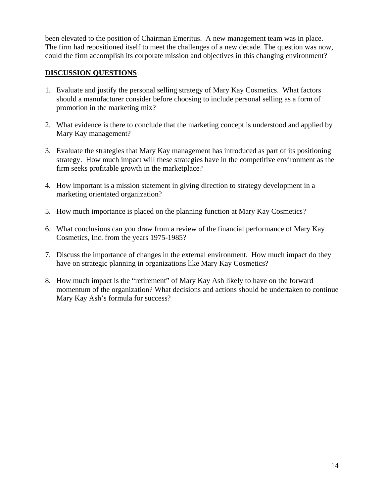been elevated to the position of Chairman Emeritus. A new management team was in place. The firm had repositioned itself to meet the challenges of a new decade. The question was now, could the firm accomplish its corporate mission and objectives in this changing environment?

#### **DISCUSSION QUESTIONS**

- 1. Evaluate and justify the personal selling strategy of Mary Kay Cosmetics. What factors should a manufacturer consider before choosing to include personal selling as a form of promotion in the marketing mix?
- 2. What evidence is there to conclude that the marketing concept is understood and applied by Mary Kay management?
- 3. Evaluate the strategies that Mary Kay management has introduced as part of its positioning strategy. How much impact will these strategies have in the competitive environment as the firm seeks profitable growth in the marketplace?
- 4. How important is a mission statement in giving direction to strategy development in a marketing orientated organization?
- 5. How much importance is placed on the planning function at Mary Kay Cosmetics?
- 6. What conclusions can you draw from a review of the financial performance of Mary Kay Cosmetics, Inc. from the years 1975-1985?
- 7. Discuss the importance of changes in the external environment. How much impact do they have on strategic planning in organizations like Mary Kay Cosmetics?
- 8. How much impact is the "retirement" of Mary Kay Ash likely to have on the forward momentum of the organization? What decisions and actions should be undertaken to continue Mary Kay Ash's formula for success?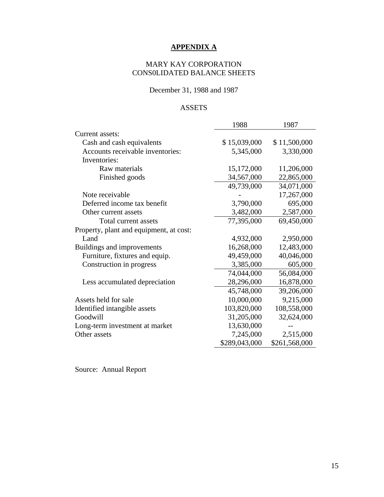## **APPENDIX A**

#### MARY KAY CORPORATION CONS0LIDATED BALANCE SHEETS

#### December 31, 1988 and 1987

#### ASSETS

|                                         | 1988          | 1987          |
|-----------------------------------------|---------------|---------------|
| Current assets:                         |               |               |
| Cash and cash equivalents               | \$15,039,000  | \$11,500,000  |
| Accounts receivable inventories:        | 5,345,000     | 3,330,000     |
| Inventories:                            |               |               |
| Raw materials                           | 15,172,000    | 11,206,000    |
| Finished goods                          | 34,567,000    | 22,865,000    |
|                                         | 49,739,000    | 34,071,000    |
| Note receivable                         |               | 17,267,000    |
| Deferred income tax benefit             | 3,790,000     | 695,000       |
| Other current assets                    | 3,482,000     | 2,587,000     |
| Total current assets                    | 77,395,000    | 69,450,000    |
| Property, plant and equipment, at cost: |               |               |
| Land                                    | 4,932,000     | 2,950,000     |
| Buildings and improvements              | 16,268,000    | 12,483,000    |
| Furniture, fixtures and equip.          | 49,459,000    | 40,046,000    |
| Construction in progress                | 3,385,000     | 605,000       |
|                                         | 74,044,000    | 56,084,000    |
| Less accumulated depreciation           | 28,296,000    | 16,878,000    |
|                                         | 45,748,000    | 39,206,000    |
| Assets held for sale                    | 10,000,000    | 9,215,000     |
| Identified intangible assets            | 103,820,000   | 108,558,000   |
| Goodwill                                | 31,205,000    | 32,624,000    |
| Long-term investment at market          | 13,630,000    |               |
| Other assets                            | 7,245,000     | 2,515,000     |
|                                         | \$289,043,000 | \$261,568,000 |

Source: Annual Report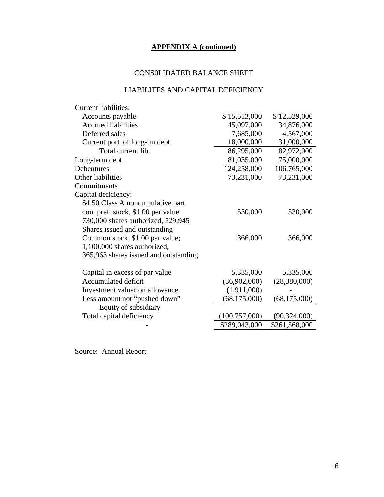## CONS0LIDATED BALANCE SHEET

#### LIABILITES AND CAPITAL DEFICIENCY

| <b>Current liabilities:</b>           |                 |                |
|---------------------------------------|-----------------|----------------|
| Accounts payable                      | \$15,513,000    | \$12,529,000   |
| <b>Accrued liabilities</b>            | 45,097,000      | 34,876,000     |
| Deferred sales                        | 7,685,000       | 4,567,000      |
| Current port. of long-tm debt         | 18,000,000      | 31,000,000     |
| Total current lib.                    | 86,295,000      | 82,972,000     |
| Long-term debt                        | 81,035,000      | 75,000,000     |
| Debentures                            | 124,258,000     | 106,765,000    |
| Other liabilities                     | 73,231,000      | 73,231,000     |
| Commitments                           |                 |                |
| Capital deficiency:                   |                 |                |
| \$4.50 Class A noncumulative part.    |                 |                |
| con. pref. stock, \$1.00 per value    | 530,000         | 530,000        |
| 730,000 shares authorized, 529,945    |                 |                |
| Shares issued and outstanding         |                 |                |
| Common stock, \$1.00 par value;       | 366,000         | 366,000        |
| 1,100,000 shares authorized,          |                 |                |
| 365,963 shares issued and outstanding |                 |                |
| Capital in excess of par value        | 5,335,000       | 5,335,000      |
| Accumulated deficit                   | (36,902,000)    | (28,380,000)   |
| Investment valuation allowance        | (1,911,000)     |                |
| Less amount not "pushed down"         | (68, 175, 000)  | (68, 175, 000) |
| Equity of subsidiary                  |                 |                |
| Total capital deficiency              | (100, 757, 000) | (90, 324, 000) |
|                                       | \$289,043,000   | \$261,568,000  |

Source: Annual Report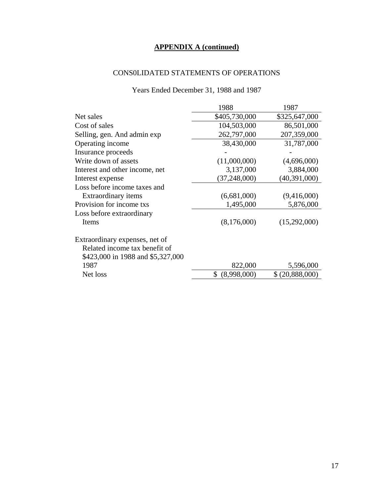## CONS0LIDATED STATEMENTS OF OPERATIONS

#### Years Ended December 31, 1988 and 1987

|                                   | 1988              | 1987            |
|-----------------------------------|-------------------|-----------------|
| Net sales                         | \$405,730,000     | \$325,647,000   |
| Cost of sales                     | 104,503,000       | 86,501,000      |
| Selling, gen. And admin exp       | 262,797,000       | 207,359,000     |
| Operating income                  | 38,430,000        | 31,787,000      |
| Insurance proceeds                |                   |                 |
| Write down of assets              | (11,000,000)      | (4,696,000)     |
| Interest and other income, net    | 3,137,000         | 3,884,000       |
| Interest expense                  | (37, 248, 000)    | (40, 391, 000)  |
| Loss before income taxes and      |                   |                 |
| Extraordinary items               | (6,681,000)       | (9,416,000)     |
| Provision for income txs.         | 1,495,000         | 5,876,000       |
| Loss before extraordinary         |                   |                 |
| Items                             | (8,176,000)       | (15,292,000)    |
| Extraordinary expenses, net of    |                   |                 |
| Related income tax benefit of     |                   |                 |
| \$423,000 in 1988 and \$5,327,000 |                   |                 |
| 1987                              | 822,000           | 5,596,000       |
| Net loss                          | \$<br>(8,998,000) | \$ (20,888,000) |
|                                   |                   |                 |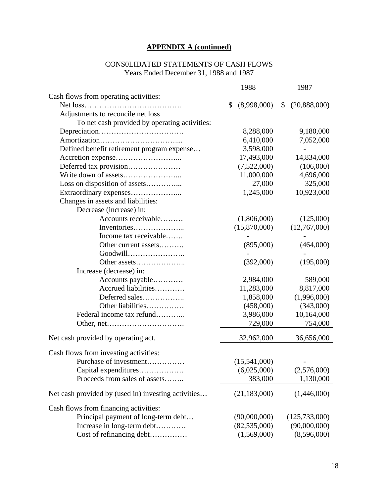#### CONS0LIDATED STATEMENTS OF CASH FLOWS Years Ended December 31, 1988 and 1987

|                                                     | 1988              | 1987               |
|-----------------------------------------------------|-------------------|--------------------|
| Cash flows from operating activities:               |                   |                    |
| Net loss                                            | (8,998,000)<br>\$ | (20,888,000)<br>\$ |
| Adjustments to reconcile net loss                   |                   |                    |
| To net cash provided by operating activities:       |                   |                    |
|                                                     | 8,288,000         | 9,180,000          |
|                                                     | 6,410,000         | 7,052,000          |
| Defined benefit retirement program expense          | 3,598,000         |                    |
|                                                     | 17,493,000        | 14,834,000         |
| Deferred tax provision                              | (7,522,000)       | (106,000)          |
| Write down of assets                                | 11,000,000        | 4,696,000          |
| Loss on disposition of assets                       | 27,000            | 325,000            |
|                                                     | 1,245,000         | 10,923,000         |
| Changes in assets and liabilities:                  |                   |                    |
| Decrease (increase) in:                             |                   |                    |
| Accounts receivable                                 | (1,806,000)       | (125,000)          |
|                                                     | (15,870,000)      | (12,767,000)       |
| Income tax receivable                               |                   |                    |
| Other current assets                                | (895,000)         | (464,000)          |
|                                                     |                   |                    |
|                                                     | (392,000)         | (195,000)          |
| Increase (decrease) in:                             |                   |                    |
| Accounts payable                                    | 2,984,000         | 589,000            |
| Accrued liabilities                                 | 11,283,000        | 8,817,000          |
| Deferred sales                                      | 1,858,000         | (1,996,000)        |
| Other liabilities                                   | (458,000)         | (343,000)          |
| Federal income tax refund                           | 3,986,000         | 10,164,000         |
|                                                     | 729,000           | 754,000            |
| Net cash provided by operating act.                 | 32,962,000        | 36,656,000         |
| Cash flows from investing activities:               |                   |                    |
| Purchase of investment                              | (15,541,000)      |                    |
| Capital expenditures                                | (6,025,000)       | (2,576,000)        |
| Proceeds from sales of assets                       | 383,000           | 1,130,000          |
| Net cash provided by (used in) investing activities | (21, 183, 000)    | (1,446,000)        |
| Cash flows from financing activities:               |                   |                    |
| Principal payment of long-term debt                 | (90,000,000)      | (125, 733, 000)    |
| Increase in long-term debt                          | (82, 535, 000)    | (90,000,000)       |
| Cost of refinancing debt                            | (1,569,000)       | (8,596,000)        |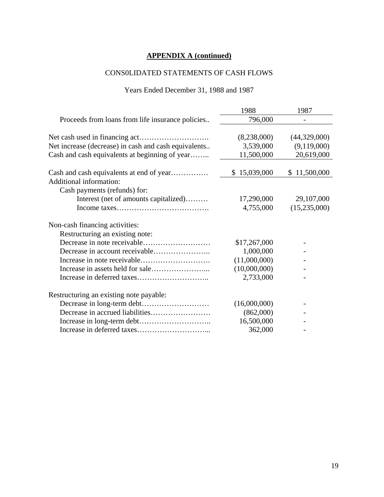#### CONS0LIDATED STATEMENTS OF CASH FLOWS

#### Years Ended December 31, 1988 and 1987

|                                                                     | 1988         | 1987         |
|---------------------------------------------------------------------|--------------|--------------|
| Proceeds from loans from life insurance policies                    | 796,000      |              |
|                                                                     | (8,238,000)  | (44,329,000) |
| Net increase (decrease) in cash and cash equivalents                | 3,539,000    | (9,119,000)  |
| Cash and cash equivalents at beginning of year                      | 11,500,000   | 20,619,000   |
| Cash and cash equivalents at end of year<br>Additional information: | \$15,039,000 | \$11,500,000 |
| Cash payments (refunds) for:                                        |              |              |
| Interest (net of amounts capitalized)                               | 17,290,000   | 29,107,000   |
|                                                                     | 4,755,000    | (15,235,000) |
| Non-cash financing activities:                                      |              |              |
| Restructuring an existing note:                                     |              |              |
|                                                                     | \$17,267,000 |              |
|                                                                     | 1,000,000    |              |
|                                                                     | (11,000,000) |              |
|                                                                     | (10,000,000) |              |
|                                                                     | 2,733,000    |              |
| Restructuring an existing note payable:                             |              |              |
|                                                                     | (16,000,000) |              |
|                                                                     | (862,000)    |              |
|                                                                     | 16,500,000   |              |
|                                                                     | 362,000      |              |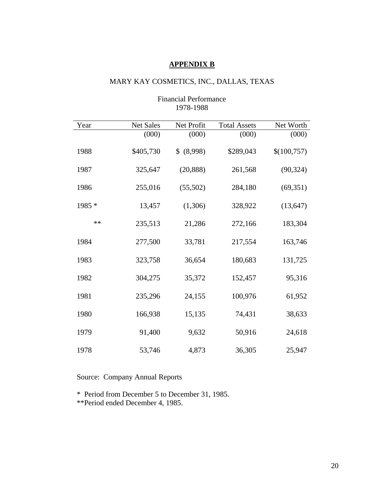## **APPENDIX B**

## MARY KAY COSMETICS, INC., DALLAS, TEXAS

| Year   | <b>Net Sales</b> | Net Profit | <b>Total Assets</b> | Net Worth   |
|--------|------------------|------------|---------------------|-------------|
|        | (000)            | (000)      | (000)               | (000)       |
| 1988   | \$405,730        | \$ (8,998) | \$289,043           | \$(100,757) |
| 1987   | 325,647          | (20, 888)  | 261,568             | (90, 324)   |
| 1986   | 255,016          | (55,502)   | 284,180             | (69, 351)   |
| 1985 * | 13,457           | (1,306)    | 328,922             | (13, 647)   |
| **     | 235,513          | 21,286     | 272,166             | 183,304     |
| 1984   | 277,500          | 33,781     | 217,554             | 163,746     |
| 1983   | 323,758          | 36,654     | 180,683             | 131,725     |
| 1982   | 304,275          | 35,372     | 152,457             | 95,316      |
| 1981   | 235,296          | 24,155     | 100,976             | 61,952      |
| 1980   | 166,938          | 15,135     | 74,431              | 38,633      |
| 1979   | 91,400           | 9,632      | 50,916              | 24,618      |
| 1978   | 53,746           | 4,873      | 36,305              | 25,947      |

#### Financial Performance 1978-1988

#### Source: Company Annual Reports

\* Period from December 5 to December 31, 1985.

\*\*Period ended December 4, 1985.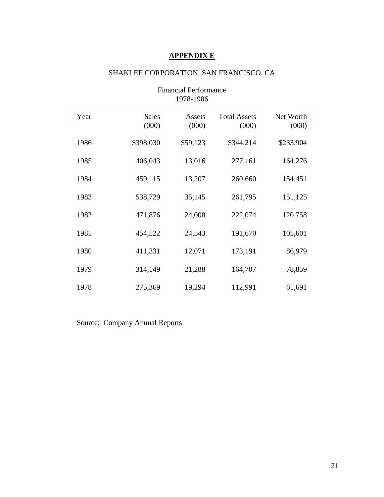## **APPENDIX E**

#### SHAKLEE CORPORATION, SAN FRANCISCO, CA

|           |                                                                   |                                                         | Net Worth                                                                |
|-----------|-------------------------------------------------------------------|---------------------------------------------------------|--------------------------------------------------------------------------|
|           |                                                                   |                                                         | (000)                                                                    |
|           |                                                                   |                                                         |                                                                          |
| \$398,030 | \$59,123                                                          | \$344,214                                               | \$233,904                                                                |
|           |                                                                   |                                                         | 164,276                                                                  |
|           |                                                                   |                                                         |                                                                          |
| 459,115   | 13,207                                                            | 260,660                                                 | 154,451                                                                  |
|           |                                                                   |                                                         |                                                                          |
|           |                                                                   |                                                         | 151,125                                                                  |
| 471,876   | 24,008                                                            | 222,074                                                 | 120,758                                                                  |
|           |                                                                   |                                                         |                                                                          |
|           |                                                                   |                                                         | 105,601                                                                  |
| 411,331   | 12,071                                                            | 173,191                                                 | 86,979                                                                   |
|           |                                                                   |                                                         |                                                                          |
| 314,149   | 21,288                                                            | 164,707                                                 | 78,859                                                                   |
|           |                                                                   |                                                         | 61,691                                                                   |
|           | <b>Sales</b><br>(000)<br>406,043<br>538,729<br>454,522<br>275,369 | Assets<br>(000)<br>13,016<br>35,145<br>24,543<br>19,294 | <b>Total Assets</b><br>(000)<br>277,161<br>261,795<br>191,670<br>112,991 |

Financial Performance 1978-1986

Source: Company Annual Reports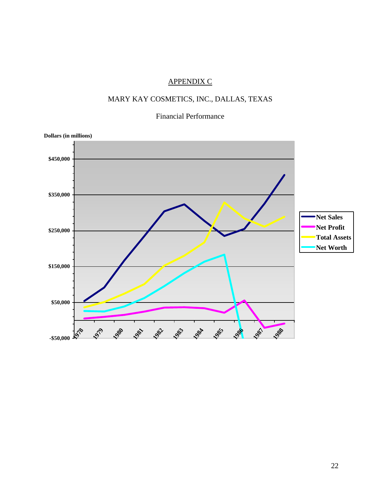## APPENDIX C

## MARY KAY COSMETICS, INC., DALLAS, TEXAS

#### Financial Performance

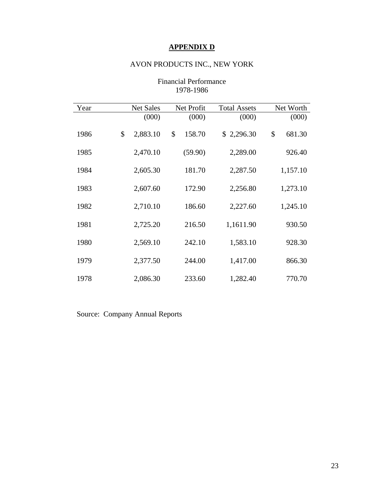# **APPENDIX D**

# AVON PRODUCTS INC., NEW YORK

| Year | <b>Net Sales</b> | Net Profit   | <b>Total Assets</b> | Net Worth    |
|------|------------------|--------------|---------------------|--------------|
|      | (000)            | (000)        | (000)               | (000)        |
| 1986 | \$<br>2,883.10   | \$<br>158.70 | \$2,296.30          | \$<br>681.30 |
| 1985 | 2,470.10         | (59.90)      | 2,289.00            | 926.40       |
| 1984 | 2,605.30         | 181.70       | 2,287.50            | 1,157.10     |
| 1983 | 2,607.60         | 172.90       | 2,256.80            | 1,273.10     |
| 1982 | 2,710.10         | 186.60       | 2,227.60            | 1,245.10     |
| 1981 | 2,725.20         | 216.50       | 1,1611.90           | 930.50       |
| 1980 | 2,569.10         | 242.10       | 1,583.10            | 928.30       |
| 1979 | 2,377.50         | 244.00       | 1,417.00            | 866.30       |
| 1978 | 2,086.30         | 233.60       | 1,282.40            | 770.70       |

#### Financial Performance 1978-1986

Source: Company Annual Reports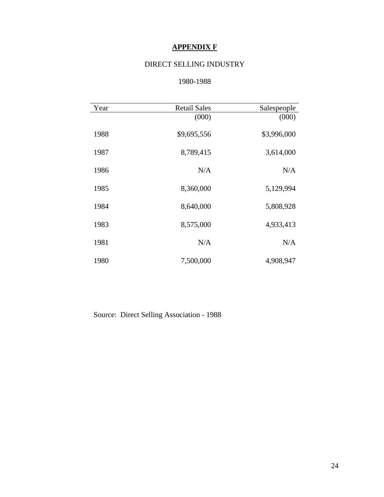# **APPENDIX F**

# DIRECT SELLING INDUSTRY

## 1980-1988

| Year | <b>Retail Sales</b> | Salespeople |
|------|---------------------|-------------|
|      | (000)               | (000)       |
| 1988 | \$9,695,556         | \$3,996,000 |
| 1987 | 8,789,415           | 3,614,000   |
| 1986 | N/A                 | N/A         |
| 1985 | 8,360,000           | 5,129,994   |
| 1984 | 8,640,000           | 5,808,928   |
| 1983 | 8,575,000           | 4,933,413   |
| 1981 | N/A                 | N/A         |
| 1980 | 7,500,000           | 4,908,947   |

Source: Direct Selling Association - 1988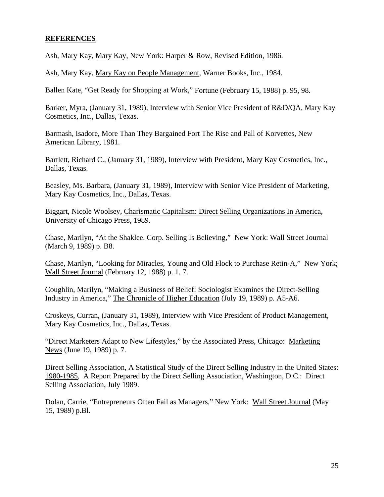#### **REFERENCES**

Ash, Mary Kay, Mary Kay, New York: Harper & Row, Revised Edition, 1986.

Ash, Mary Kay, Mary Kay on People Management, Warner Books, Inc., 1984.

Ballen Kate, "Get Ready for Shopping at Work," Fortune (February 15, 1988) p. 95, 98.

Barker, Myra, (January 31, 1989), Interview with Senior Vice President of R&D/QA, Mary Kay Cosmetics, Inc., Dallas, Texas.

Barmash, Isadore, More Than They Bargained Fort The Rise and Pall of Korvettes, New American Library, 1981.

Bartlett, Richard C., (January 31, 1989), Interview with President, Mary Kay Cosmetics, Inc., Dallas, Texas.

Beasley, Ms. Barbara, (January 31, 1989), Interview with Senior Vice President of Marketing, Mary Kay Cosmetics, Inc., Dallas, Texas.

Biggart, Nicole Woolsey, Charismatic Capitalism: Direct Selling Organizations In America, University of Chicago Press, 1989.

Chase, Marilyn, "At the Shaklee. Corp. Selling Is Believing," New York: Wall Street Journal (March 9, 1989) p. B8.

Chase, Marilyn, "Looking for Miracles, Young and Old Flock to Purchase Retin-A," New York; Wall Street Journal (February 12, 1988) p. 1, 7.

Coughlin, Marilyn, "Making a Business of Belief: Sociologist Examines the Direct-Selling Industry in America," The Chronicle of Higher Education (July 19, 1989) p. A5-A6.

Croskeys, Curran, (January 31, 1989), Interview with Vice President of Product Management, Mary Kay Cosmetics, Inc., Dallas, Texas.

"Direct Marketers Adapt to New Lifestyles," by the Associated Press, Chicago: Marketing News (June 19, 1989) p. 7.

Direct Selling Association, A Statistical Study of the Direct Selling Industry in the United States: 1980-1985, A Report Prepared by the Direct Selling Association, Washington, D.C.: Direct Selling Association, July 1989.

Dolan, Carrie, "Entrepreneurs Often Fail as Managers," New York: Wall Street Journal (May 15, 1989) p.Bl.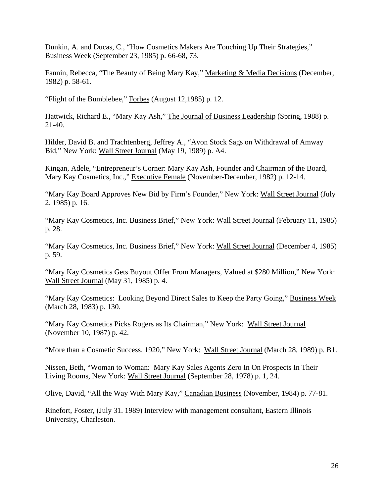Dunkin, A. and Ducas, C., "How Cosmetics Makers Are Touching Up Their Strategies," Business Week (September 23, 1985) p. 66-68, 73.

Fannin, Rebecca, "The Beauty of Being Mary Kay," Marketing & Media Decisions (December, 1982) p. 58-61.

"Flight of the Bumblebee," Forbes (August 12,1985) p. 12.

Hattwick, Richard E., "Mary Kay Ash," The Journal of Business Leadership (Spring, 1988) p. 21-40.

Hilder, David B. and Trachtenberg, Jeffrey A., "Avon Stock Sags on Withdrawal of Amway Bid," New York: Wall Street Journal (May 19, 1989) p. A4.

Kingan, Adele, "Entrepreneur's Corner: Mary Kay Ash, Founder and Chairman of the Board, Mary Kay Cosmetics, Inc.," Executive Female (November-December, 1982) p. 12-14.

"Mary Kay Board Approves New Bid by Firm's Founder," New York: Wall Street Journal (July 2, 1985) p. 16.

"Mary Kay Cosmetics, Inc. Business Brief," New York: Wall Street Journal (February 11, 1985) p. 28.

"Mary Kay Cosmetics, Inc. Business Brief," New York: Wall Street Journal (December 4, 1985) p. 59.

"Mary Kay Cosmetics Gets Buyout Offer From Managers, Valued at \$280 Million," New York: Wall Street Journal (May 31, 1985) p. 4.

"Mary Kay Cosmetics: Looking Beyond Direct Sales to Keep the Party Going," Business Week (March 28, 1983) p. 130.

"Mary Kay Cosmetics Picks Rogers as Its Chairman," New York: Wall Street Journal (November 10, 1987) p. 42.

"More than a Cosmetic Success, 1920," New York: Wall Street Journal (March 28, 1989) p. B1.

Nissen, Beth, "Woman to Woman: Mary Kay Sales Agents Zero In On Prospects In Their Living Rooms, New York: Wall Street Journal (September 28, 1978) p. 1, 24.

Olive, David, "All the Way With Mary Kay," Canadian Business (November, 1984) p. 77-81.

Rinefort, Foster, (July 31. 1989) Interview with management consultant, Eastern Illinois University, Charleston.